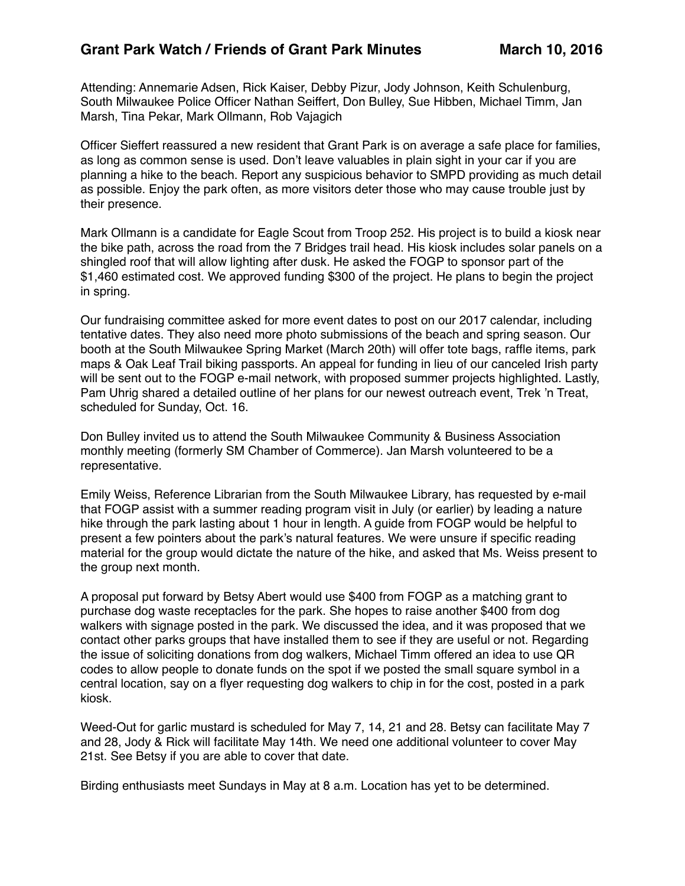Attending: Annemarie Adsen, Rick Kaiser, Debby Pizur, Jody Johnson, Keith Schulenburg, South Milwaukee Police Officer Nathan Seiffert, Don Bulley, Sue Hibben, Michael Timm, Jan Marsh, Tina Pekar, Mark Ollmann, Rob Vajagich

Officer Sieffert reassured a new resident that Grant Park is on average a safe place for families, as long as common sense is used. Don't leave valuables in plain sight in your car if you are planning a hike to the beach. Report any suspicious behavior to SMPD providing as much detail as possible. Enjoy the park often, as more visitors deter those who may cause trouble just by their presence.

Mark Ollmann is a candidate for Eagle Scout from Troop 252. His project is to build a kiosk near the bike path, across the road from the 7 Bridges trail head. His kiosk includes solar panels on a shingled roof that will allow lighting after dusk. He asked the FOGP to sponsor part of the \$1,460 estimated cost. We approved funding \$300 of the project. He plans to begin the project in spring.

Our fundraising committee asked for more event dates to post on our 2017 calendar, including tentative dates. They also need more photo submissions of the beach and spring season. Our booth at the South Milwaukee Spring Market (March 20th) will offer tote bags, raffle items, park maps & Oak Leaf Trail biking passports. An appeal for funding in lieu of our canceled Irish party will be sent out to the FOGP e-mail network, with proposed summer projects highlighted. Lastly, Pam Uhrig shared a detailed outline of her plans for our newest outreach event, Trek 'n Treat, scheduled for Sunday, Oct. 16.

Don Bulley invited us to attend the South Milwaukee Community & Business Association monthly meeting (formerly SM Chamber of Commerce). Jan Marsh volunteered to be a representative.

Emily Weiss, Reference Librarian from the South Milwaukee Library, has requested by e-mail that FOGP assist with a summer reading program visit in July (or earlier) by leading a nature hike through the park lasting about 1 hour in length. A guide from FOGP would be helpful to present a few pointers about the park's natural features. We were unsure if specific reading material for the group would dictate the nature of the hike, and asked that Ms. Weiss present to the group next month.

A proposal put forward by Betsy Abert would use \$400 from FOGP as a matching grant to purchase dog waste receptacles for the park. She hopes to raise another \$400 from dog walkers with signage posted in the park. We discussed the idea, and it was proposed that we contact other parks groups that have installed them to see if they are useful or not. Regarding the issue of soliciting donations from dog walkers, Michael Timm offered an idea to use QR codes to allow people to donate funds on the spot if we posted the small square symbol in a central location, say on a flyer requesting dog walkers to chip in for the cost, posted in a park kiosk.

Weed-Out for garlic mustard is scheduled for May 7, 14, 21 and 28. Betsy can facilitate May 7 and 28, Jody & Rick will facilitate May 14th. We need one additional volunteer to cover May 21st. See Betsy if you are able to cover that date.

Birding enthusiasts meet Sundays in May at 8 a.m. Location has yet to be determined.